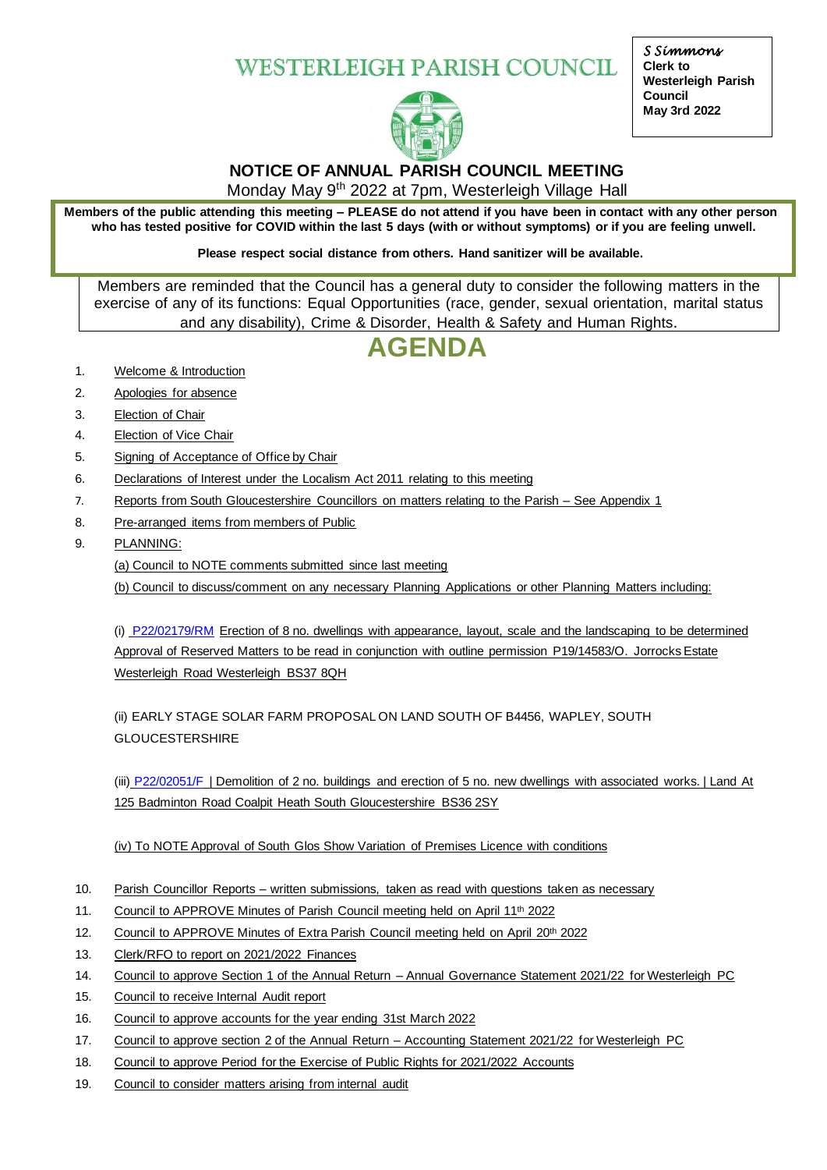## **WESTERLEIGH PARISH COUNCIL**



*S Simmons*  **Clerk to Westerleigh Parish Council May 3rd 2022**

## **NOTICE OF ANNUAL PARISH COUNCIL MEETING**

Monday May 9th 2022 at 7pm, Westerleigh Village Hall

**Members of the public attending this meeting – PLEASE do not attend if you have been in contact with any other person who has tested positive for COVID within the last 5 days (with or without symptoms) or if you are feeling unwell.**

**Please respect social distance from others. Hand sanitizer will be available.**

Members are reminded that the Council has a general duty to consider the following matters in the exercise of any of its functions: Equal Opportunities (race, gender, sexual orientation, marital status and any disability), Crime & Disorder, Health & Safety and Human Rights.

# **AGENDA**

- 1. Welcome & Introduction
- 2. Apologies for absence
- 3. Election of Chair
- 4. Election of Vice Chair
- 5. Signing of Acceptance of Office by Chair
- 6. Declarations of Interest under the Localism Act 2011 relating to this meeting
- 7. Reports from South Gloucestershire Councillors on matters relating to the Parish See Appendix 1
- 8. Pre-arranged items from members of Public
- 9. PLANNING:

(a) Council to NOTE comments submitted since last meeting

(b) Council to discuss/comment on any necessary Planning Applications or other Planning Matters including:

(i) [P22/02179/RM](https://developments.southglos.gov.uk/online-applications/applicationDetails.do?keyVal=RA7X50OKMKJ00&activeTab=summary) Erection of 8 no. dwellings with appearance, layout, scale and the landscaping to be determined Approval of Reserved Matters to be read in conjunction with outline permission P19/14583/O. Jorrocks Estate Westerleigh Road Westerleigh BS37 8QH

(ii) EARLY STAGE SOLAR FARM PROPOSAL ON LAND SOUTH OF B4456, WAPLEY, SOUTH GLOUCESTERSHIRE

(iii) [P22/02051/F](https://developments.southglos.gov.uk/online-applications/applicationDetails.do?activeTab=documents&keyVal=R9VFG0OKMCQ00) | Demolition of 2 no. buildings and erection of 5 no. new dwellings with associated works. | Land At 125 Badminton Road Coalpit Heath South Gloucestershire BS36 2SY

(iv) To NOTE Approval of South Glos Show Variation of Premises Licence with conditions

- 10. Parish Councillor Reports written submissions, taken as read with questions taken as necessary
- 11. Council to APPROVE Minutes of Parish Council meeting held on April 11<sup>th</sup> 2022
- 12. Council to APPROVE Minutes of Extra Parish Council meeting held on April 20th 2022
- 13. Clerk/RFO to report on 2021/2022 Finances
- 14. Council to approve Section 1 of the Annual Return Annual Governance Statement 2021/22 for Westerleigh PC
- 15. Council to receive Internal Audit report
- 16. Council to approve accounts for the year ending 31st March 2022
- 17. Council to approve section 2 of the Annual Return Accounting Statement 2021/22 for Westerleigh PC
- 18. Council to approve Period for the Exercise of Public Rights for 2021/2022 Accounts
- 19. Council to consider matters arising from internal audit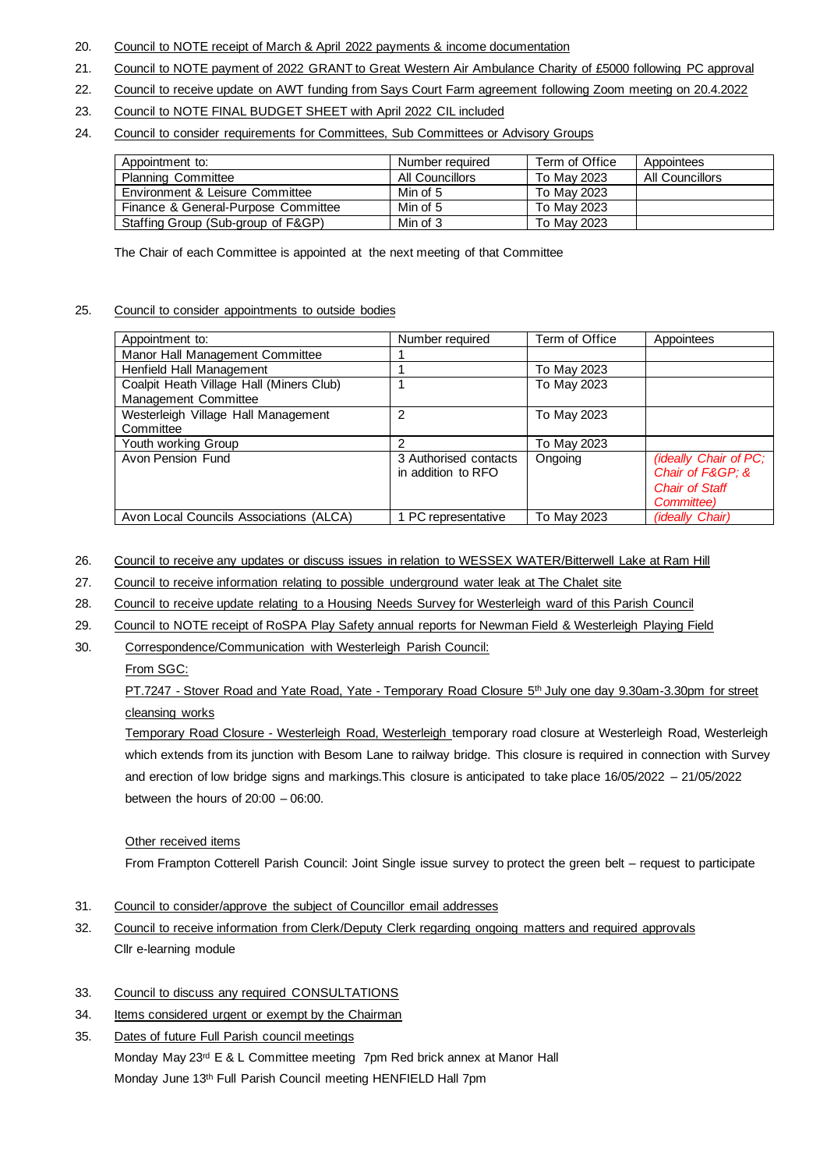- 20. Council to NOTE receipt of March & April 2022 payments & income documentation
- 21. Council to NOTE payment of 2022 GRANT to Great Western Air Ambulance Charity of £5000 following PC approval
- 22. Council to receive update on AWT funding from Says Court Farm agreement following Zoom meeting on 20.4.2022
- 23. Council to NOTE FINAL BUDGET SHEET with April 2022 CIL included
- 24. Council to consider requirements for Committees, Sub Committees or Advisory Groups

| Appointment to:                     | Number required | Term of Office | Appointees      |
|-------------------------------------|-----------------|----------------|-----------------|
| <b>Planning Committee</b>           | All Councillors | To May 2023    | All Councillors |
| Environment & Leisure Committee     | Min of 5        | To May 2023    |                 |
| Finance & General-Purpose Committee | Min of 5        | To May 2023    |                 |
| Staffing Group (Sub-group of F&GP)  | Min of 3        | To May 2023    |                 |

The Chair of each Committee is appointed at the next meeting of that Committee

#### 25. Council to consider appointments to outside bodies

| Appointment to:                          | Number required       | Term of Office | Appointees             |
|------------------------------------------|-----------------------|----------------|------------------------|
| Manor Hall Management Committee          |                       |                |                        |
| Henfield Hall Management                 |                       | To May 2023    |                        |
| Coalpit Heath Village Hall (Miners Club) |                       | To May 2023    |                        |
| Management Committee                     |                       |                |                        |
| Westerleigh Village Hall Management      | 2                     | To May 2023    |                        |
| Committee                                |                       |                |                        |
| Youth working Group                      | 2                     | To May 2023    |                        |
| Avon Pension Fund                        | 3 Authorised contacts | Ongoing        | (ideally Chair of PC;  |
|                                          | in addition to RFO    |                | Chair of F&GP &        |
|                                          |                       |                | <b>Chair of Staff</b>  |
|                                          |                       |                | Committee)             |
| Avon Local Councils Associations (ALCA)  | PC representative     | To May 2023    | <i>(ideally Chair)</i> |

- 26. Council to receive any updates or discuss issues in relation to WESSEX WATER/Bitterwell Lake at Ram Hill
- 27. Council to receive information relating to possible underground water leak at The Chalet site
- 28. Council to receive update relating to a Housing Needs Survey for Westerleigh ward of this Parish Council
- 29. Council to NOTE receipt of RoSPA Play Safety annual reports for Newman Field & Westerleigh Playing Field
- 30. Correspondence/Communication with Westerleigh Parish Council:

#### From SGC:

PT.7247 - Stover Road and Yate Road, Yate - Temporary Road Closure 5<sup>th</sup> July one day 9.30am-3.30pm for street cleansing works

Temporary Road Closure - Westerleigh Road, Westerleigh temporary road closure at Westerleigh Road, Westerleigh which extends from its junction with Besom Lane to railway bridge. This closure is required in connection with Survey and erection of low bridge signs and markings.This closure is anticipated to take place 16/05/2022 – 21/05/2022 between the hours of  $20:00 - 06:00$ .

#### Other received items

From Frampton Cotterell Parish Council: Joint Single issue survey to protect the green belt – request to participate

- 31. Council to consider/approve the subject of Councillor email addresses
- 32. Council to receive information from Clerk/Deputy Clerk regarding ongoing matters and required approvals Cllr e-learning module

#### 33. Council to discuss any required CONSULTATIONS

- 34. Items considered urgent or exempt by the Chairman
- 35. Dates of future Full Parish council meetings Monday May 23<sup>rd</sup> E & L Committee meeting 7pm Red brick annex at Manor Hall Monday June 13th Full Parish Council meeting HENFIELD Hall 7pm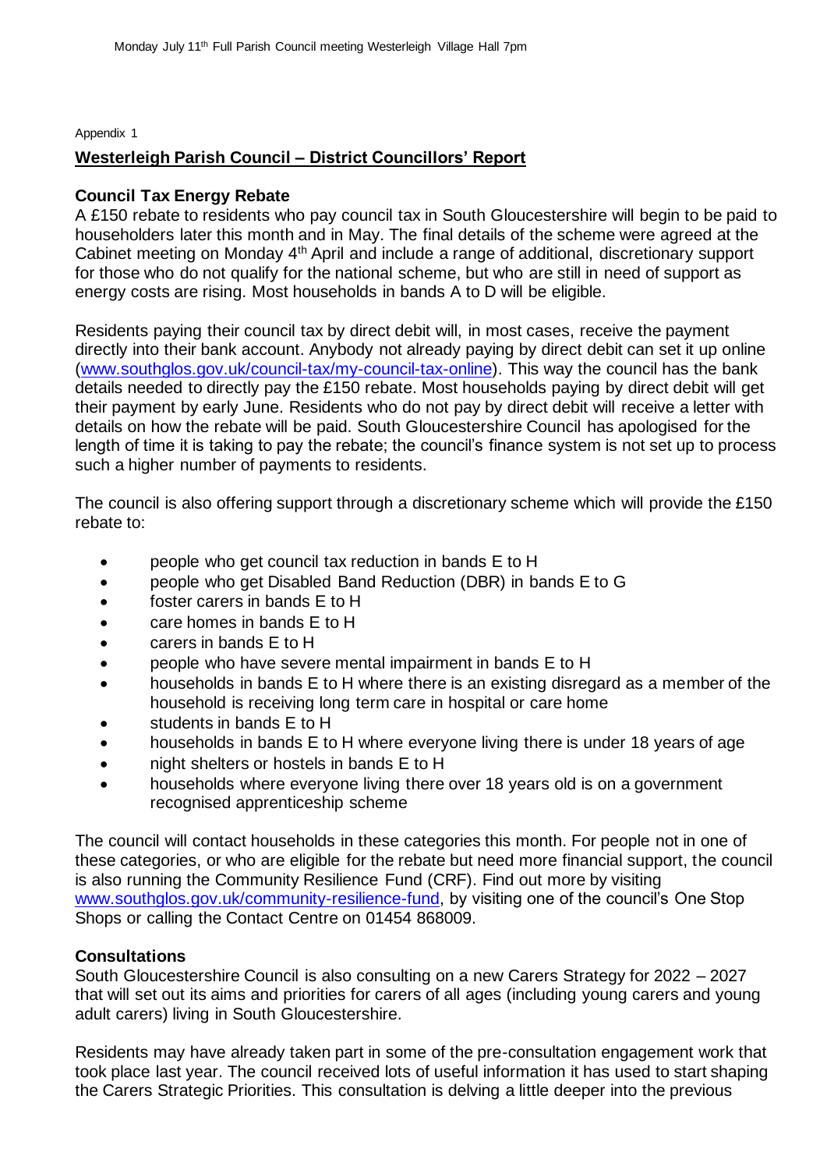Appendix 1

## **Westerleigh Parish Council – District Councillors' Report**

### **Council Tax Energy Rebate**

A £150 rebate to residents who pay council tax in South Gloucestershire will begin to be paid to householders later this month and in May. The final details of the scheme were agreed at the Cabinet meeting on Monday 4<sup>th</sup> April and include a range of additional, discretionary support for those who do not qualify for the national scheme, but who are still in need of support as energy costs are rising. Most households in bands A to D will be eligible.

Residents paying their council tax by direct debit will, in most cases, receive the payment directly into their bank account. Anybody not already paying by direct debit can set it up online [\(www.southglos.gov.uk/council-tax/my-council-tax-online\)](http://www.southglos.gov.uk/council-tax/my-council-tax-online). This way the council has the bank details needed to directly pay the £150 rebate. Most households paying by direct debit will get their payment by early June. Residents who do not pay by direct debit will receive a letter with details on how the rebate will be paid. South Gloucestershire Council has apologised for the length of time it is taking to pay the rebate; the council's finance system is not set up to process such a higher number of payments to residents.

The council is also offering support through a discretionary scheme which will provide the £150 rebate to:

- people who get council tax reduction in bands E to H
- people who get Disabled Band Reduction (DBR) in bands E to G
- foster carers in bands E to H
- care homes in bands E to H
- carers in bands E to H
- people who have severe mental impairment in bands E to H
- households in bands E to H where there is an existing disregard as a member of the household is receiving long term care in hospital or care home
- students in bands E to H
- households in bands E to H where everyone living there is under 18 years of age
- night shelters or hostels in bands E to H
- households where everyone living there over 18 years old is on a government recognised apprenticeship scheme

The council will contact households in these categories this month. For people not in one of these categories, or who are eligible for the rebate but need more financial support, the council is also running the Community Resilience Fund (CRF). Find out more by visiting [www.southglos.gov.uk/community-resilience-fund,](http://www.southglos.gov.uk/community-resilience-fund) by visiting one of the council's One Stop Shops or calling the Contact Centre on 01454 868009.

## **Consultations**

South Gloucestershire Council is also consulting on a new Carers Strategy for 2022 – 2027 that will set out its aims and priorities for carers of all ages (including young carers and young adult carers) living in South Gloucestershire.

Residents may have already taken part in some of the pre-consultation engagement work that took place last year. The council received lots of useful information it has used to start shaping the Carers Strategic Priorities. This consultation is delving a little deeper into the previous